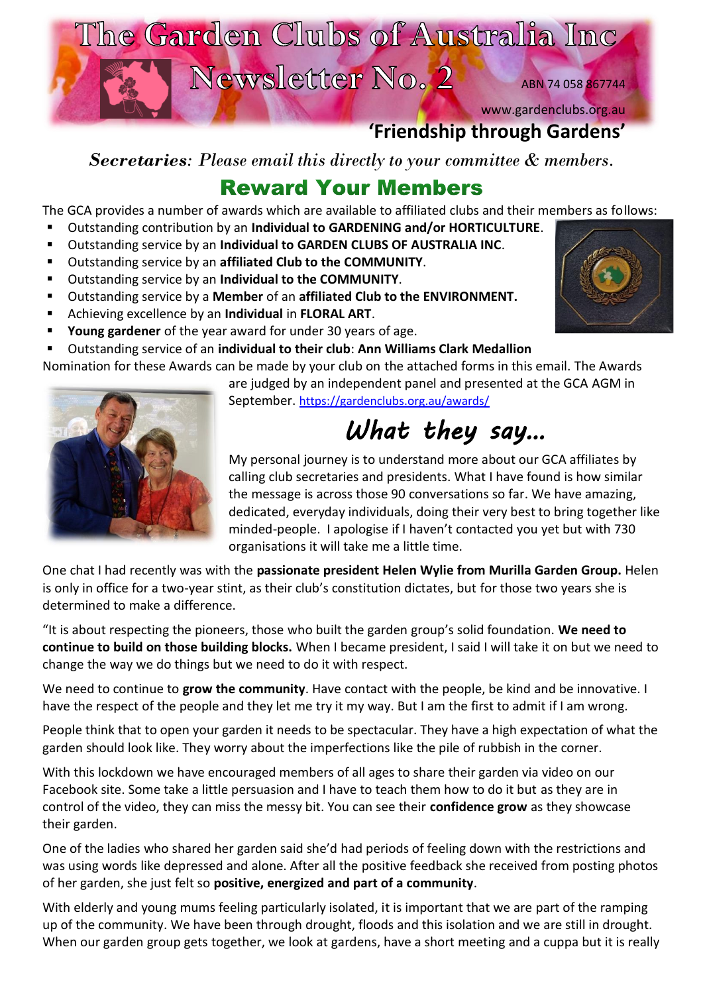

# **'Friendship through Gardens'**

*Secretaries: Please email this directly to your committee & members.*

# **Reward Your Members**

The GCA provides a number of awards which are available to affiliated clubs and their members as follows:

- Outstanding contribution by an **Individual to GARDENING and/or HORTICULTURE**.
- Outstanding service by an **Individual to GARDEN CLUBS OF AUSTRALIA INC**.
- Outstanding service by an **affiliated Club to the COMMUNITY**.
- Outstanding service by an **Individual to the COMMUNITY**.
- Outstanding service by a **Member** of an **affiliated Club to the ENVIRONMENT.**
- Achieving excellence by an **Individual** in **FLORAL ART**.
- **Young gardener** of the year award for under 30 years of age.

Outstanding service of an *individual to their club: Ann Williams Clark Medallion* 

Nomination for these Awards can be made by your club on the attached forms in this email. The Awards

are judged by an independent panel and presented at the GCA AGM in





*What they say…*  My personal journey is to understand more about our GCA affiliates by calling club secretaries and presidents. What I have found is how similar the message is across those 90 conversations so far. We have amazing, dedicated, everyday individuals, doing their very best to bring together like

minded-people. I apologise if I haven't contacted you yet but with 730

organisations it will take me a little time. One chat I had recently was with the **passionate president Helen Wylie from Murilla Garden Group.** Helen is only in office for a two-year stint, as their club's constitution dictates, but for those two years she is determined to make a difference.

"It is about respecting the pioneers, those who built the garden group's solid foundation. **We need to continue to build on those building blocks.** When I became president, I said I will take it on but we need to change the way we do things but we need to do it with respect.

We need to continue to **grow the community**. Have contact with the people, be kind and be innovative. I have the respect of the people and they let me try it my way. But I am the first to admit if I am wrong.

People think that to open your garden it needs to be spectacular. They have a high expectation of what the garden should look like. They worry about the imperfections like the pile of rubbish in the corner.

With this lockdown we have encouraged members of all ages to share their garden via video on our Facebook site. Some take a little persuasion and I have to teach them how to do it but as they are in control of the video, they can miss the messy bit. You can see their **confidence grow** as they showcase their garden.

One of the ladies who shared her garden said she'd had periods of feeling down with the restrictions and was using words like depressed and alone. After all the positive feedback she received from posting photos of her garden, she just felt so **positive, energized and part of a community**.

With elderly and young mums feeling particularly isolated, it is important that we are part of the ramping up of the community. We have been through drought, floods and this isolation and we are still in drought. When our garden group gets together, we look at gardens, have a short meeting and a cuppa but it is really

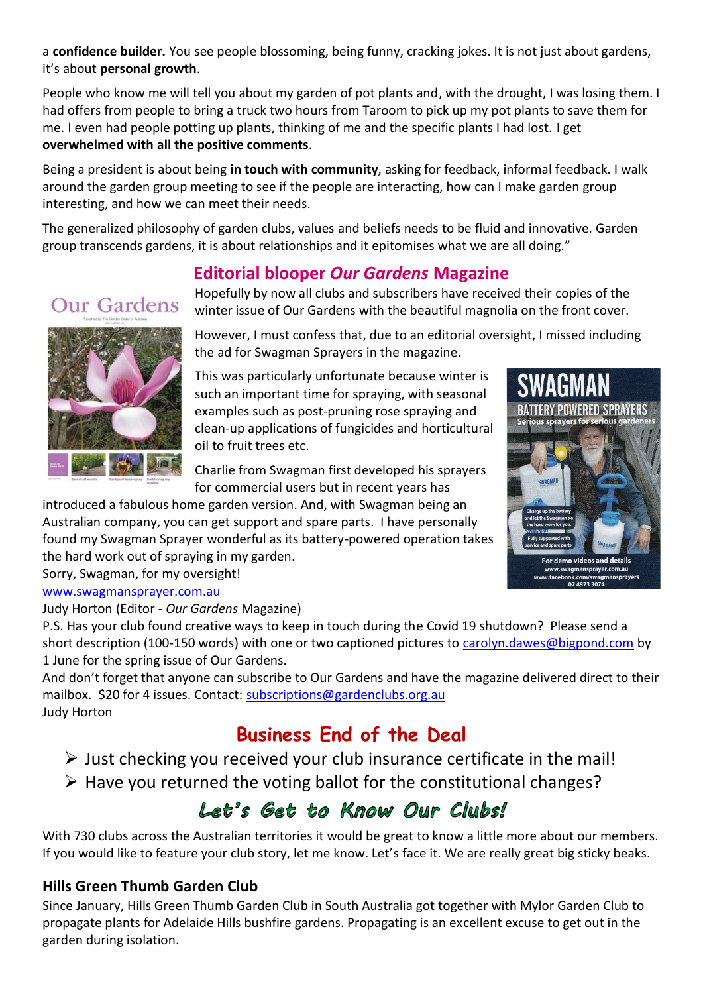a **confidence builder.** You see people blossoming, being funny, cracking jokes. It is not just about gardens, it's about **personal growth**.

People who know me will tell you about my garden of pot plants and, with the drought, I was losing them. I had offers from people to bring a truck two hours from Taroom to pick up my pot plants to save them for me. I even had people potting up plants, thinking of me and the specific plants I had lost. I get **overwhelmed with all the positive comments**.

Being a president is about being **in touch with community**, asking for feedback, informal feedback. I walk around the garden group meeting to see if the people are interacting, how can I make garden group interesting, and how we can meet their needs.

The generalized philosophy of garden clubs, values and beliefs needs to be fluid and innovative. Garden group transcends gardens, it is about relationships and it epitomises what we are all doing."

### **Editorial blooper** *Our Gardens* **Magazine**

Hopefully by now all clubs and subscribers have received their copies of the winter issue of Our Gardens with the beautiful magnolia on the front cover.



However, I must confess that, due to an editorial oversight, I missed including the ad for Swagman Sprayers in the magazine.

This was particularly unfortunate because winter is such an important time for spraying, with seasonal examples such as post-pruning rose spraying and clean-up applications of fungicides and horticultural oil to fruit trees etc.

Charlie from Swagman first developed his sprayers for commercial users but in recent years has

introduced a fabulous home garden version. And, with Swagman being an Australian company, you can get support and spare parts. I have personally found my Swagman Sprayer wonderful as its battery-powered operation takes the hard work out of spraying in my garden.

Sorry, Swagman, for my oversight! [www.swagmansprayer.com.au](http://www.swagmansprayer.com.au/)

Judy Horton (Editor - *Our Gardens* Magazine)

P.S. Has your club found creative ways to keep in touch during the Covid 19 shutdown? Please send a short description (100-150 words) with one or two captioned pictures to [carolyn.dawes@bigpond.com](mailto:carolyn.dawes@bigpond.com) by 1 June for the spring issue of Our Gardens.

And don't forget that anyone can subscribe to Our Gardens and have the magazine delivered direct to their mailbox. \$20 for 4 issues. Contact: [subscriptions@gardenclubs.org.au](mailto:subscriptions@gardenclubs.org.au) Judy Horton

# **Business End of the Deal**

 $\triangleright$  Just checking you received your club insurance certificate in the mail!

 $\triangleright$  Have you returned the voting ballot for the constitutional changes?

# Let's Get to Know Our Clubs!

With 730 clubs across the Australian territories it would be great to know a little more about our members. If you would like to feature your club story, let me know. Let's face it. We are really great big sticky beaks.

#### **Hills Green Thumb Garden Club**

Since January, Hills Green Thumb Garden Club in South Australia got together with Mylor Garden Club to propagate plants for Adelaide Hills bushfire gardens. Propagating is an excellent excuse to get out in the garden during isolation.

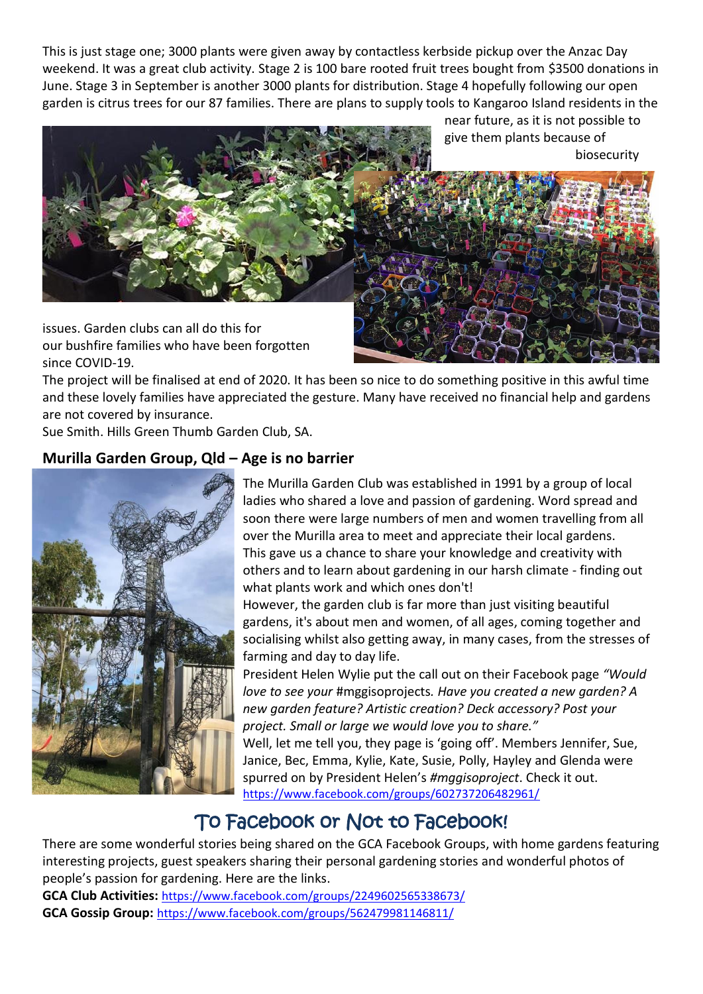This is just stage one; 3000 plants were given away by contactless kerbside pickup over the Anzac Day weekend. It was a great club activity. Stage 2 is 100 bare rooted fruit trees bought from \$3500 donations in June. Stage 3 in September is another 3000 plants for distribution. Stage 4 hopefully following our open garden is citrus trees for our 87 families. There are plans to supply tools to Kangaroo Island residents in the

near future, as it is not possible to give them plants because of biosecurity



issues. Garden clubs can all do this for our bushfire families who have been forgotten since COVID-19.

The project will be finalised at end of 2020. It has been so nice to do something positive in this awful time and these lovely families have appreciated the gesture. Many have received no financial help and gardens are not covered by insurance.

Sue Smith. Hills Green Thumb Garden Club, SA.

#### **Murilla Garden Group, Qld – Age is no barrier**



The Murilla Garden Club was established in 1991 by a group of local ladies who shared a love and passion of gardening. Word spread and soon there were large numbers of men and women travelling from all over the Murilla area to meet and appreciate their local gardens. This gave us a chance to share your knowledge and creativity with others and to learn about gardening in our harsh climate - finding out what plants work and which ones don't!

However, the garden club is far more than just visiting beautiful gardens, it's about men and women, of all ages, coming together and socialising whilst also getting away, in many cases, from the stresses of farming and day to day life.

President Helen Wylie put the call out on their Facebook page *"Would love to see your* #mggisoprojects*. Have you created a new garden? A new garden feature? Artistic creation? Deck accessory? Post your project. Small or large we would love you to share."*

Well, let me tell you, they page is 'going off'. Members Jennifer, Sue, Janice, Bec, Emma, Kylie, Kate, Susie, Polly, Hayley and Glenda were spurred on by President Helen's *#mggisoproject*. Check it out. <https://www.facebook.com/groups/602737206482961/>

## To Facebook or Not to Facebook!

There are some wonderful stories being shared on the GCA Facebook Groups, with home gardens featuring interesting projects, guest speakers sharing their personal gardening stories and wonderful photos of people's passion for gardening. Here are the links.

**GCA Club Activities:** <https://www.facebook.com/groups/2249602565338673/> **GCA Gossip Group:** <https://www.facebook.com/groups/562479981146811/>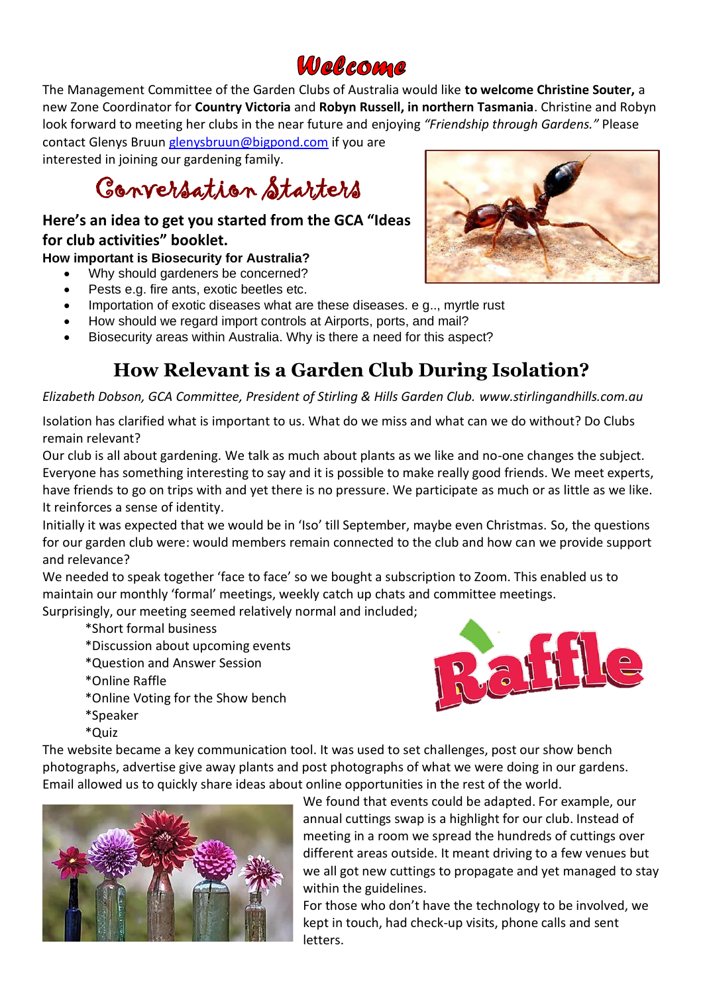# Welcome

The Management Committee of the Garden Clubs of Australia would like **to welcome Christine Souter,** a new Zone Coordinator for **Country Victoria** and **Robyn Russell, in northern Tasmania**. Christine and Robyn look forward to meeting her clubs in the near future and enjoying *"Friendship through Gardens."* Please contact Glenys Bruun [glenysbruun@bigpond.com](mailto:glenysbruun@bigpond.com) if you are

interested in joining our gardening family.

Conversation Starters

#### **Here's an idea to get you started from the GCA "Ideas for club activities" booklet.**

**How important is Biosecurity for Australia?**

- Why should gardeners be concerned?
- Pests e.g. fire ants, exotic beetles etc.
- Importation of exotic diseases what are these diseases. e g.., myrtle rust
- How should we regard import controls at Airports, ports, and mail?
- Biosecurity areas within Australia. Why is there a need for this aspect?

# **How Relevant is a Garden Club During Isolation?**

*Elizabeth Dobson, GCA Committee, President of Stirling & Hills Garden Club. www.stirlingandhills.com.au*

Isolation has clarified what is important to us. What do we miss and what can we do without? Do Clubs remain relevant?

Our club is all about gardening. We talk as much about plants as we like and no-one changes the subject. Everyone has something interesting to say and it is possible to make really good friends. We meet experts, have friends to go on trips with and yet there is no pressure. We participate as much or as little as we like. It reinforces a sense of identity.

Initially it was expected that we would be in 'Iso' till September, maybe even Christmas. So, the questions for our garden club were: would members remain connected to the club and how can we provide support and relevance?

We needed to speak together 'face to face' so we bought a subscription to Zoom. This enabled us to maintain our monthly 'formal' meetings, weekly catch up chats and committee meetings. Surprisingly, our meeting seemed relatively normal and included;

\*Short formal business

- \*Discussion about upcoming events
- \*Question and Answer Session
- \*Online Raffle
- \*Online Voting for the Show bench
- \*Speaker
- \*Quiz



The website became a key communication tool. It was used to set challenges, post our show bench photographs, advertise give away plants and post photographs of what we were doing in our gardens. Email allowed us to quickly share ideas about online opportunities in the rest of the world.



We found that events could be adapted. For example, our annual cuttings swap is a highlight for our club. Instead of meeting in a room we spread the hundreds of cuttings over different areas outside. It meant driving to a few venues but we all got new cuttings to propagate and yet managed to stay within the guidelines.

For those who don't have the technology to be involved, we kept in touch, had check-up visits, phone calls and sent letters.